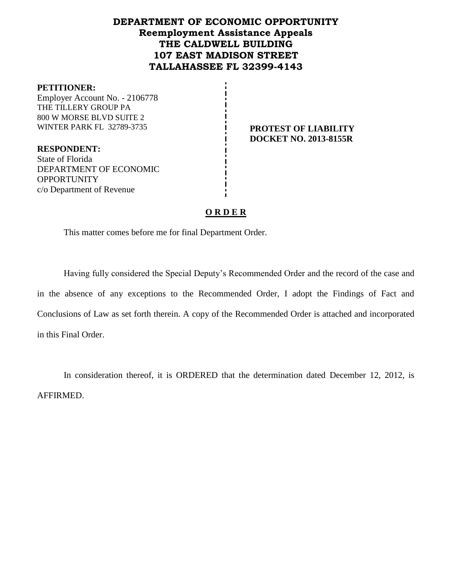# **DEPARTMENT OF ECONOMIC OPPORTUNITY Reemployment Assistance Appeals THE CALDWELL BUILDING 107 EAST MADISON STREET TALLAHASSEE FL 32399-4143**

#### **PETITIONER:**

Employer Account No. - 2106778 THE TILLERY GROUP PA 800 W MORSE BLVD SUITE 2 WINTER PARK FL 32789-3735 **PROTEST OF LIABILITY** 

# **DOCKET NO. 2013-8155R**

**RESPONDENT:** State of Florida DEPARTMENT OF ECONOMIC **OPPORTUNITY** c/o Department of Revenue

# **O R D E R**

This matter comes before me for final Department Order.

Having fully considered the Special Deputy's Recommended Order and the record of the case and in the absence of any exceptions to the Recommended Order, I adopt the Findings of Fact and Conclusions of Law as set forth therein. A copy of the Recommended Order is attached and incorporated in this Final Order.

In consideration thereof, it is ORDERED that the determination dated December 12, 2012, is AFFIRMED.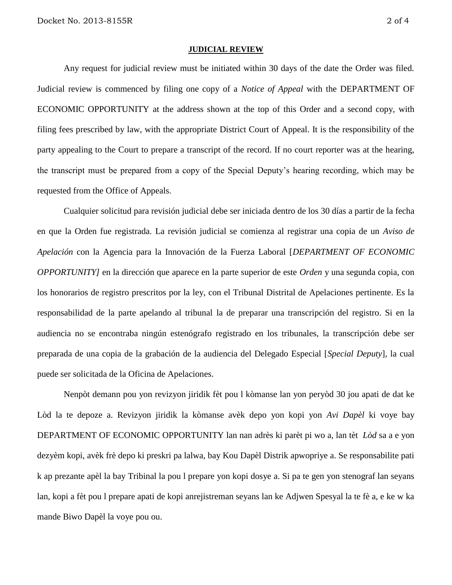#### **JUDICIAL REVIEW**

Any request for judicial review must be initiated within 30 days of the date the Order was filed. Judicial review is commenced by filing one copy of a *Notice of Appeal* with the DEPARTMENT OF ECONOMIC OPPORTUNITY at the address shown at the top of this Order and a second copy, with filing fees prescribed by law, with the appropriate District Court of Appeal. It is the responsibility of the party appealing to the Court to prepare a transcript of the record. If no court reporter was at the hearing, the transcript must be prepared from a copy of the Special Deputy's hearing recording, which may be requested from the Office of Appeals.

Cualquier solicitud para revisión judicial debe ser iniciada dentro de los 30 días a partir de la fecha en que la Orden fue registrada. La revisión judicial se comienza al registrar una copia de un *Aviso de Apelación* con la Agencia para la Innovación de la Fuerza Laboral [*DEPARTMENT OF ECONOMIC OPPORTUNITY]* en la dirección que aparece en la parte superior de este *Orden* y una segunda copia, con los honorarios de registro prescritos por la ley, con el Tribunal Distrital de Apelaciones pertinente. Es la responsabilidad de la parte apelando al tribunal la de preparar una transcripción del registro. Si en la audiencia no se encontraba ningún estenógrafo registrado en los tribunales, la transcripción debe ser preparada de una copia de la grabación de la audiencia del Delegado Especial [*Special Deputy*], la cual puede ser solicitada de la Oficina de Apelaciones.

Nenpòt demann pou yon revizyon jiridik fèt pou l kòmanse lan yon peryòd 30 jou apati de dat ke Lòd la te depoze a. Revizyon jiridik la kòmanse avèk depo yon kopi yon *Avi Dapèl* ki voye bay DEPARTMENT OF ECONOMIC OPPORTUNITY lan nan adrès ki parèt pi wo a, lan tèt *Lòd* sa a e yon dezyèm kopi, avèk frè depo ki preskri pa lalwa, bay Kou Dapèl Distrik apwopriye a. Se responsabilite pati k ap prezante apèl la bay Tribinal la pou l prepare yon kopi dosye a. Si pa te gen yon stenograf lan seyans lan, kopi a fèt pou l prepare apati de kopi anrejistreman seyans lan ke Adjwen Spesyal la te fè a, e ke w ka mande Biwo Dapèl la voye pou ou.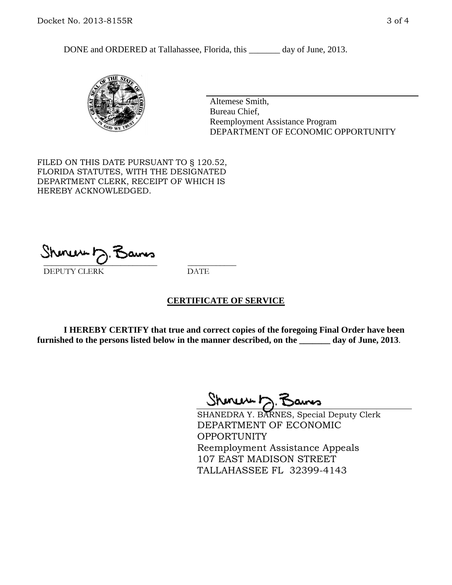DONE and ORDERED at Tallahassee, Florida, this \_\_\_\_\_\_\_ day of June, 2013.



Altemese Smith, Bureau Chief, Reemployment Assistance Program DEPARTMENT OF ECONOMIC OPPORTUNITY

FILED ON THIS DATE PURSUANT TO § 120.52, FLORIDA STATUTES, WITH THE DESIGNATED DEPARTMENT CLERK, RECEIPT OF WHICH IS HEREBY ACKNOWLEDGED.

 $\overline{\phantom{a}}$  ,  $\overline{\phantom{a}}$  ,  $\overline{\phantom{a}}$  ,  $\overline{\phantom{a}}$  ,  $\overline{\phantom{a}}$  ,  $\overline{\phantom{a}}$  ,  $\overline{\phantom{a}}$  ,  $\overline{\phantom{a}}$ DEPUTY CLERK DATE

## **CERTIFICATE OF SERVICE**

**I HEREBY CERTIFY that true and correct copies of the foregoing Final Order have been furnished to the persons listed below in the manner described, on the \_\_\_\_\_\_\_ day of June, 2013**.

Shenux D.F

SHANEDRA Y. BARNES, Special Deputy Clerk DEPARTMENT OF ECONOMIC **OPPORTUNITY** Reemployment Assistance Appeals 107 EAST MADISON STREET TALLAHASSEE FL 32399-4143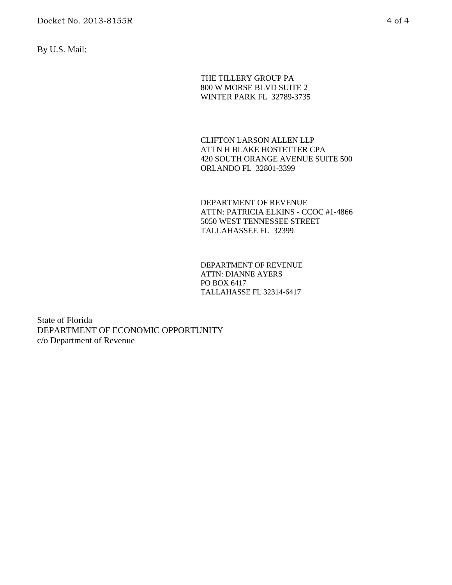By U.S. Mail:

THE TILLERY GROUP PA 800 W MORSE BLVD SUITE 2 WINTER PARK FL 32789-3735

CLIFTON LARSON ALLEN LLP ATTN H BLAKE HOSTETTER CPA 420 SOUTH ORANGE AVENUE SUITE 500 ORLANDO FL 32801-3399

DEPARTMENT OF REVENUE ATTN: PATRICIA ELKINS - CCOC #1-4866 5050 WEST TENNESSEE STREET TALLAHASSEE FL 32399

DEPARTMENT OF REVENUE ATTN: DIANNE AYERS PO BOX 6417 TALLAHASSE FL 32314-6417

State of Florida DEPARTMENT OF ECONOMIC OPPORTUNITY c/o Department of Revenue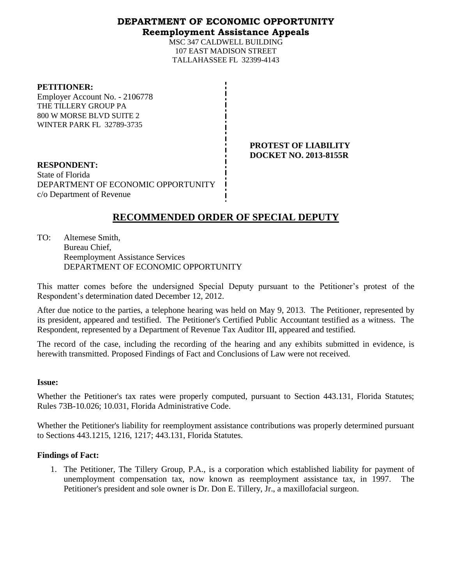# **DEPARTMENT OF ECONOMIC OPPORTUNITY**

## **Reemployment Assistance Appeals**

MSC 347 CALDWELL BUILDING 107 EAST MADISON STREET TALLAHASSEE FL 32399-4143

#### **PETITIONER:**

Employer Account No. - 2106778 THE TILLERY GROUP PA 800 W MORSE BLVD SUITE 2 WINTER PARK FL 32789-3735

> **PROTEST OF LIABILITY DOCKET NO. 2013-8155R**

**RESPONDENT:** State of Florida DEPARTMENT OF ECONOMIC OPPORTUNITY c/o Department of Revenue

# **RECOMMENDED ORDER OF SPECIAL DEPUTY**

TO: Altemese Smith, Bureau Chief, Reemployment Assistance Services DEPARTMENT OF ECONOMIC OPPORTUNITY

This matter comes before the undersigned Special Deputy pursuant to the Petitioner's protest of the Respondent's determination dated December 12, 2012.

After due notice to the parties, a telephone hearing was held on May 9, 2013. The Petitioner, represented by its president, appeared and testified. The Petitioner's Certified Public Accountant testified as a witness. The Respondent, represented by a Department of Revenue Tax Auditor III, appeared and testified.

The record of the case, including the recording of the hearing and any exhibits submitted in evidence, is herewith transmitted. Proposed Findings of Fact and Conclusions of Law were not received.

## **Issue:**

Whether the Petitioner's tax rates were properly computed, pursuant to Section 443.131, Florida Statutes; Rules 73B-10.026; 10.031, Florida Administrative Code.

Whether the Petitioner's liability for reemployment assistance contributions was properly determined pursuant to Sections 443.1215, 1216, 1217; 443.131, Florida Statutes.

## **Findings of Fact:**

1. The Petitioner, The Tillery Group, P.A., is a corporation which established liability for payment of unemployment compensation tax, now known as reemployment assistance tax, in 1997. The Petitioner's president and sole owner is Dr. Don E. Tillery, Jr., a maxillofacial surgeon.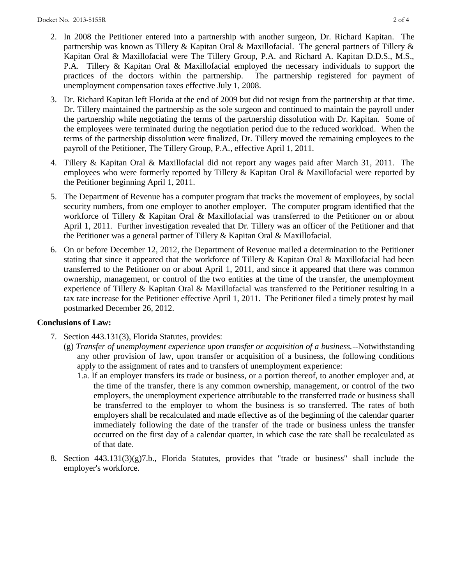- 2. In 2008 the Petitioner entered into a partnership with another surgeon, Dr. Richard Kapitan. The partnership was known as Tillery & Kapitan Oral & Maxillofacial. The general partners of Tillery & Kapitan Oral & Maxillofacial were The Tillery Group, P.A. and Richard A. Kapitan D.D.S., M.S., P.A. Tillery & Kapitan Oral & Maxillofacial employed the necessary individuals to support the practices of the doctors within the partnership. The partnership registered for payment of unemployment compensation taxes effective July 1, 2008.
- 3. Dr. Richard Kapitan left Florida at the end of 2009 but did not resign from the partnership at that time. Dr. Tillery maintained the partnership as the sole surgeon and continued to maintain the payroll under the partnership while negotiating the terms of the partnership dissolution with Dr. Kapitan. Some of the employees were terminated during the negotiation period due to the reduced workload. When the terms of the partnership dissolution were finalized, Dr. Tillery moved the remaining employees to the payroll of the Petitioner, The Tillery Group, P.A., effective April 1, 2011.
- 4. Tillery & Kapitan Oral & Maxillofacial did not report any wages paid after March 31, 2011. The employees who were formerly reported by Tillery & Kapitan Oral & Maxillofacial were reported by the Petitioner beginning April 1, 2011.
- 5. The Department of Revenue has a computer program that tracks the movement of employees, by social security numbers, from one employer to another employer. The computer program identified that the workforce of Tillery & Kapitan Oral & Maxillofacial was transferred to the Petitioner on or about April 1, 2011. Further investigation revealed that Dr. Tillery was an officer of the Petitioner and that the Petitioner was a general partner of Tillery & Kapitan Oral & Maxillofacial.
- 6. On or before December 12, 2012, the Department of Revenue mailed a determination to the Petitioner stating that since it appeared that the workforce of Tillery & Kapitan Oral & Maxillofacial had been transferred to the Petitioner on or about April 1, 2011, and since it appeared that there was common ownership, management, or control of the two entities at the time of the transfer, the unemployment experience of Tillery & Kapitan Oral & Maxillofacial was transferred to the Petitioner resulting in a tax rate increase for the Petitioner effective April 1, 2011. The Petitioner filed a timely protest by mail postmarked December 26, 2012.

## **Conclusions of Law:**

- 7. Section 443.131(3), Florida Statutes, provides:
	- (g) *Transfer of unemployment experience upon transfer or acquisition of a business.*--Notwithstanding any other provision of law, upon transfer or acquisition of a business, the following conditions apply to the assignment of rates and to transfers of unemployment experience:
		- 1.a. If an employer transfers its trade or business, or a portion thereof, to another employer and, at the time of the transfer, there is any common ownership, management, or control of the two employers, the unemployment experience attributable to the transferred trade or business shall be transferred to the employer to whom the business is so transferred. The rates of both employers shall be recalculated and made effective as of the beginning of the calendar quarter immediately following the date of the transfer of the trade or business unless the transfer occurred on the first day of a calendar quarter, in which case the rate shall be recalculated as of that date.
- 8. Section 443.131(3)(g)7.b., Florida Statutes, provides that "trade or business" shall include the employer's workforce.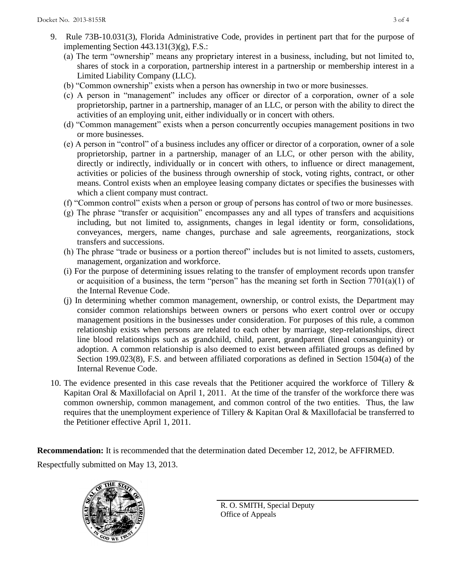- 9. Rule 73B-10.031(3), Florida Administrative Code, provides in pertinent part that for the purpose of implementing Section 443.131(3)(g), F.S.:
	- (a) The term "ownership" means any proprietary interest in a business, including, but not limited to, shares of stock in a corporation, partnership interest in a partnership or membership interest in a Limited Liability Company (LLC).
	- (b) "Common ownership" exists when a person has ownership in two or more businesses.
	- (c) A person in "management" includes any officer or director of a corporation, owner of a sole proprietorship, partner in a partnership, manager of an LLC, or person with the ability to direct the activities of an employing unit, either individually or in concert with others.
	- (d) "Common management" exists when a person concurrently occupies management positions in two or more businesses.
	- (e) A person in "control" of a business includes any officer or director of a corporation, owner of a sole proprietorship, partner in a partnership, manager of an LLC, or other person with the ability, directly or indirectly, individually or in concert with others, to influence or direct management, activities or policies of the business through ownership of stock, voting rights, contract, or other means. Control exists when an employee leasing company dictates or specifies the businesses with which a client company must contract.
	- (f) "Common control" exists when a person or group of persons has control of two or more businesses.
	- (g) The phrase "transfer or acquisition" encompasses any and all types of transfers and acquisitions including, but not limited to, assignments, changes in legal identity or form, consolidations, conveyances, mergers, name changes, purchase and sale agreements, reorganizations, stock transfers and successions.
	- (h) The phrase "trade or business or a portion thereof" includes but is not limited to assets, customers, management, organization and workforce.
	- (i) For the purpose of determining issues relating to the transfer of employment records upon transfer or acquisition of a business, the term "person" has the meaning set forth in Section 7701(a)(1) of the Internal Revenue Code.
	- (j) In determining whether common management, ownership, or control exists, the Department may consider common relationships between owners or persons who exert control over or occupy management positions in the businesses under consideration. For purposes of this rule, a common relationship exists when persons are related to each other by marriage, step-relationships, direct line blood relationships such as grandchild, child, parent, grandparent (lineal consanguinity) or adoption. A common relationship is also deemed to exist between affiliated groups as defined by Section 199.023(8), F.S. and between affiliated corporations as defined in Section 1504(a) of the Internal Revenue Code.
- 10. The evidence presented in this case reveals that the Petitioner acquired the workforce of Tillery & Kapitan Oral & Maxillofacial on April 1, 2011. At the time of the transfer of the workforce there was common ownership, common management, and common control of the two entities. Thus, the law requires that the unemployment experience of Tillery & Kapitan Oral & Maxillofacial be transferred to the Petitioner effective April 1, 2011.

**Recommendation:** It is recommended that the determination dated December 12, 2012, be AFFIRMED. Respectfully submitted on May 13, 2013.



R. O. SMITH, Special Deputy Office of Appeals